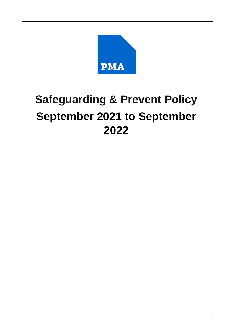

# **Safeguarding & Prevent Policy September 2021 to September 2022**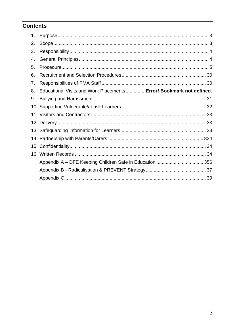# **Contents**

| 1. |                                                                    |  |
|----|--------------------------------------------------------------------|--|
| 2. |                                                                    |  |
| 3. |                                                                    |  |
| 4. |                                                                    |  |
| 5. |                                                                    |  |
| 6. |                                                                    |  |
| 7. |                                                                    |  |
| 8. | Educational Visits and Work PlacementsError! Bookmark not defined. |  |
| 9. |                                                                    |  |
|    |                                                                    |  |
|    |                                                                    |  |
|    |                                                                    |  |
|    |                                                                    |  |
|    |                                                                    |  |
|    |                                                                    |  |
|    |                                                                    |  |
|    |                                                                    |  |
|    |                                                                    |  |
|    |                                                                    |  |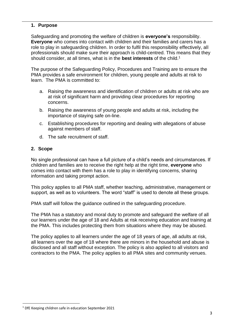# <span id="page-2-0"></span>**1. Purpose**

Safeguarding and promoting the welfare of children is **everyone's** responsibility. **Everyone** who comes into contact with children and their families and carers has a role to play in safeguarding children. In order to fulfil this responsibility effectively, all professionals should make sure their approach is child-centred. This means that they should consider, at all times, what is in the **best interests** of the child.<sup>1</sup>

The purpose of the Safeguarding Policy, Procedures and Training are to ensure the PMA provides a safe environment for children, young people and adults at risk to learn. The PMA is committed to:

- a. Raising the awareness and identification of children or adults at risk who are at risk of significant harm and providing clear procedures for reporting concerns.
- b. Raising the awareness of young people and adults at risk, including the importance of staying safe on-line.
- c. Establishing procedures for reporting and dealing with allegations of abuse against members of staff.
- d. The safe recruitment of staff.

# <span id="page-2-1"></span>**2. Scope**

No single professional can have a full picture of a child's needs and circumstances. If children and families are to receive the right help at the right time, **everyone** who comes into contact with them has a role to play in identifying concerns, sharing information and taking prompt action.

This policy applies to all PMA staff, whether teaching, administrative, management or support, as well as to volunteers. The word "staff" is used to denote all these groups.

PMA staff will follow the guidance outlined in the safeguarding procedure.

The PMA has a statutory and moral duty to promote and safeguard the welfare of all our learners under the age of 18 and Adults at risk receiving education and training at the PMA. This includes protecting them from situations where they may be abused.

The policy applies to all learners under the age of 18 years of age, all adults at risk, all learners over the age of 18 where there are minors in the household and abuse is disclosed and all staff without exception. The policy is also applied to all visitors and contractors to the PMA. The policy applies to all PMA sites and community venues.

<sup>&</sup>lt;sup>1</sup> DfE Keeping children safe in education September 2021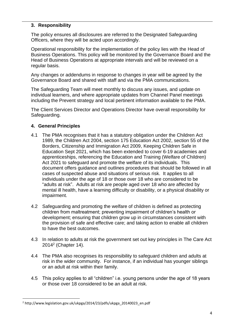# <span id="page-3-0"></span>**3. Responsibility**

The policy ensures all disclosures are referred to the Designated Safeguarding Officers, where they will be acted upon accordingly.

Operational responsibility for the implementation of the policy lies with the Head of Business Operations. This policy will be monitored by the Governance Board and the Head of Business Operations at appropriate intervals and will be reviewed on a regular basis.

Any changes or addendums in response to changes in year will be agreed by the Governance Board and shared with staff and via the PMA communications.

The Safeguarding Team will meet monthly to discuss any issues, and update on individual learners, and where appropriate updates from Channel Panel meetings including the Prevent strategy and local pertinent information available to the PMA.

The Client Services Director and Operations Director have overall responsibility for Safeguarding.

# <span id="page-3-1"></span>**4. General Principles**

- 4.1 The PMA recognises that it has a statutory obligation under the Children Act 1989, the Children Act 2004, section 175 Education Act 2002, section 55 of the Borders, Citizenship and Immigration Act 2009, Keeping Children Safe in Education Sept 2021, which has been extended to cover 6-19 academies and apprenticeships, referencing the Education and Training (Welfare of Children) Act 2021 to safeguard and promote the welfare of its individuals. This document offers guidance and outlines procedures that should be followed in all cases of suspected abuse and situations of serious risk. It applies to all individuals under the age of 18 or those over 18 who are considered to be "adults at risk". Adults at risk are people aged over 18 who are affected by mental ill health, have a learning difficulty or disability, or a physical disability or impairment.
- 4.2 Safeguarding and promoting the welfare of children is defined as protecting children from maltreatment; preventing impairment of children's health or development; ensuring that children grow up in circumstances consistent with the provision of safe and effective care; and taking action to enable all children to have the best outcomes.
- 4.3 In relation to adults at risk the government set out key principles in The Care Act 2014<sup>2</sup> (Chapter 14).
- 4.4 The PMA also recognises its responsibility to safeguard children and adults at risk in the wider community. For instance, if an individual has younger siblings or an adult at risk within their family.
- 4.5 This policy applies to all "children" i.e. young persons under the age of 18 years or those over 18 considered to be an adult at risk.

<sup>2</sup> http://www.legislation.gov.uk/ukpga/2014/23/pdfs/ukpga\_20140023\_en.pdf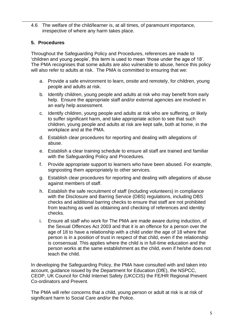4.6 The welfare of the child/learner is, at all times, of paramount importance, irrespective of where any harm takes place.

# <span id="page-4-0"></span>**5. Procedures**

Throughout the Safeguarding Policy and Procedures, references are made to 'children and young people', this term is used to mean 'those under the age of 18'. The PMA recognises that some adults are also vulnerable to abuse, hence this policy will also refer to adults at risk. The PMA is committed to ensuring that we:

- a. Provide a safe environment to learn, onsite and remotely, for children, young people and adults at risk.
- b. Identify children, young people and adults at risk who may benefit from early help. Ensure the appropriate staff and/or external agencies are involved in an early help assessment.
- c. Identify children, young people and adults at risk who are suffering, or likely to suffer significant harm, and take appropriate action to see that such children, young people and adults at risk are kept safe, both at home, in the workplace and at the PMA.
- d. Establish clear procedures for reporting and dealing with allegations of abuse.
- e. Establish a clear training schedule to ensure all staff are trained and familiar with the Safeguarding Policy and Procedures.
- f. Provide appropriate support to learners who have been abused. For example, signposting them appropriately to other services.
- g. Establish clear procedures for reporting and dealing with allegations of abuse against members of staff.
- h. Establish the safe recruitment of staff (including volunteers) in compliance with the Disclosure and Barring Service (DBS) regulations, including DBS checks and additional barring checks to ensure that staff are not prohibited from teaching as well as obtaining and checking of references and identity checks.
- i. Ensure all staff who work for The PMA are made aware during induction, of the Sexual Offences Act 2003 and that it is an offence for a person over the age of 18 to have a relationship with a child under the age of 18 where that person is in a position of trust in respect of that child, even if the relationship is consensual. This applies where the child is in full-time education and the person works at the same establishment as the child, even if he/she does not teach the child.

In developing the Safeguarding Policy, the PMA have consulted with and taken into account, guidance issued by the Department for Education (DfE), the NSPCC, CEOP, UK Council for Child Internet Safety (UKCCIS) the FE/HR Regional Prevent Co-ordinators and Prevent.

The PMA will refer concerns that a child, young person or adult at risk is at risk of significant harm to Social Care and/or the Police.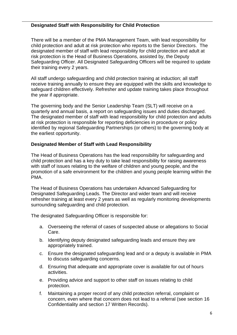# **Designated Staff with Responsibility for Child Protection**

There will be a member of the PMA Management Team, with lead responsibility for child protection and adult at risk protection who reports to the Senior Directors. The designated member of staff with lead responsibility for child protection and adult at risk protection is the Head of Business Operations, assisted by, the Deputy Safeguarding Officer. All Designated Safeguarding Officers will be required to update their training every 2 years.

All staff undergo safeguarding and child protection training at induction; all staff receive training annually to ensure they are equipped with the skills and knowledge to safeguard children effectively. Refresher and update training takes place throughout the year if appropriate.

The governing body and the Senior Leadership Team (SLT) will receive on a quarterly and annual basis, a report on safeguarding issues and duties discharged. The designated member of staff with lead responsibility for child protection and adults at risk protection is responsible for reporting deficiencies in procedure or policy identified by regional Safeguarding Partnerships (or others) to the governing body at the earliest opportunity.

# **Designated Member of Staff with Lead Responsibility**

The Head of Business Operations has the lead responsibility for safeguarding and child protection and has a key duty to take lead responsibility for raising awareness with staff of issues relating to the welfare of children and young people, and the promotion of a safe environment for the children and young people learning within the PMA.

The Head of Business Operations has undertaken Advanced Safeguarding for Designated Safeguarding Leads. The Director and wider team and will receive refresher training at least every 2 years as well as regularly monitoring developments surrounding safeguarding and child protection.

The designated Safeguarding Officer is responsible for:

- a. Overseeing the referral of cases of suspected abuse or allegations to Social Care.
- b. Identifying deputy designated safeguarding leads and ensure they are appropriately trained.
- c. Ensure the designated safeguarding lead and or a deputy is available in PMA to discuss safeguarding concerns.
- d. Ensuring that adequate and appropriate cover is available for out of hours activities.
- e. Providing advice and support to other staff on issues relating to child protection.
- f. Maintaining a proper record of any child protection referral, complaint or concern, even where that concern does not lead to a referral (see section 16 Confidentiality and section 17 Written Records).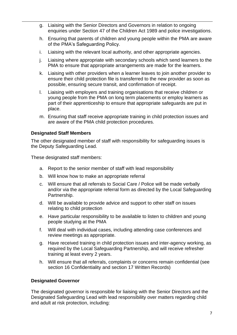- g. Liaising with the Senior Directors and Governors in relation to ongoing enquiries under Section 47 of the Children Act 1989 and police investigations.
- h. Ensuring that parents of children and young people within the PMA are aware of the PMA's Safeguarding Policy.
- i. Liaising with the relevant local authority, and other appropriate agencies.
- j. Liaising where appropriate with secondary schools which send learners to the PMA to ensure that appropriate arrangements are made for the learners.
- k. Liaising with other providers when a learner leaves to join another provider to ensure their child protection file is transferred to the new provider as soon as possible, ensuring secure transit, and confirmation of receipt.
- l. Liaising with employers and training organisations that receive children or young people from the PMA on long term placements or employ learners as part of their apprenticeship to ensure that appropriate safeguards are put in place.
- m. Ensuring that staff receive appropriate training in child protection issues and are aware of the PMA child protection procedures.

# **Designated Staff Members**

The other designated member of staff with responsibility for safeguarding issues is the Deputy Safeguarding Lead.

These designated staff members:

- a. Report to the senior member of staff with lead responsibility
- b. Will know how to make an appropriate referral
- c. Will ensure that all referrals to Social Care / Police will be made verbally and/or via the appropriate referral form as directed by the Local Safeguarding Partnership.
- d. Will be available to provide advice and support to other staff on issues relating to child protection
- e. Have particular responsibility to be available to listen to children and young people studying at the PMA
- f. Will deal with individual cases, including attending case conferences and review meetings as appropriate.
- g. Have received training in child protection issues and inter-agency working, as required by the Local Safeguarding Partnership, and will receive refresher training at least every 2 years.
- h. Will ensure that all referrals, complaints or concerns remain confidential (see section 16 Confidentiality and section 17 Written Records)

# **Designated Governor**

The designated governor is responsible for liaising with the Senior Directors and the Designated Safeguarding Lead with lead responsibility over matters regarding child and adult at risk protection, including: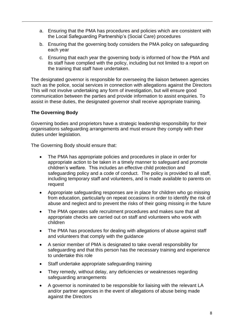- a. Ensuring that the PMA has procedures and policies which are consistent with the Local Safeguarding Partnership's (Social Care) procedures
- b. Ensuring that the governing body considers the PMA policy on safeguarding each year
- c. Ensuring that each year the governing body is informed of how the PMA and its staff have complied with the policy, including but not limited to a report on the training that staff have undertaken.

The designated governor is responsible for overseeing the liaison between agencies such as the police, social services in connection with allegations against the Directors This will not involve undertaking any form of investigation, but will ensure good communication between the parties and provide information to assist enquiries. To assist in these duties, the designated governor shall receive appropriate training.

# **The Governing Body**

Governing bodies and proprietors have a strategic leadership responsibility for their organisations safeguarding arrangements and must ensure they comply with their duties under legislation.

The Governing Body should ensure that:

- The PMA has appropriate policies and procedures in place in order for appropriate action to be taken in a timely manner to safeguard and promote children's welfare. This includes an effective child protection and safeguarding policy and a code of conduct. The policy is provided to all staff, including temporary staff and volunteers, and is made available to parents on request
- Appropriate safeguarding responses are in place for children who go missing from education, particularly on repeat occasions in order to identify the risk of abuse and neglect and to prevent the risks of their going missing in the future
- The PMA operates safe recruitment procedures and makes sure that all appropriate checks are carried out on staff and volunteers who work with children
- The PMA has procedures for dealing with allegations of abuse against staff and volunteers that comply with the guidance
- A senior member of PMA is designated to take overall responsibility for safeguarding and that this person has the necessary training and experience to undertake this role
- Staff undertake appropriate safeguarding training
- They remedy, without delay, any deficiencies or weaknesses regarding safeguarding arrangements
- A governor is nominated to be responsible for liaising with the relevant LA and/or partner agencies in the event of allegations of abuse being made against the Directors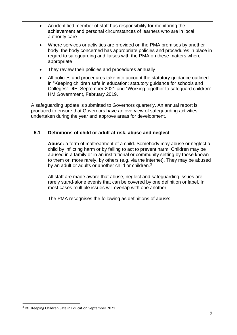- An identified member of staff has responsibility for monitoring the achievement and personal circumstances of learners who are in local authority care
- Where services or activities are provided on the PMA premises by another body, the body concerned has appropriate policies and procedures in place in regard to safeguarding and liaises with the PMA on these matters where appropriate
- They review their policies and procedures annually
- All policies and procedures take into account the statutory guidance outlined in "Keeping children safe in education: statutory guidance for schools and Colleges" DfE, September 2021 and "Working together to safeguard children" HM Government, February 2019.

A safeguarding update is submitted to Governors quarterly. An annual report is produced to ensure that Governors have an overview of safeguarding activities undertaken during the year and approve areas for development.

# **5.1 Definitions of child or adult at risk, abuse and neglect**

**Abuse:** a form of maltreatment of a child. Somebody may abuse or neglect a child by inflicting harm or by failing to act to prevent harm. Children may be abused in a family or in an institutional or community setting by those known to them or, more rarely, by others (e.g. via the internet). They may be abused by an adult or adults or another child or children.<sup>3</sup>

All staff are made aware that abuse, neglect and safeguarding issues are rarely stand-alone events that can be covered by one definition or label. In most cases multiple issues will overlap with one another.

The PMA recognises the following as definitions of abuse:

<sup>3</sup> DfE Keeping Children Safe in Education September 2021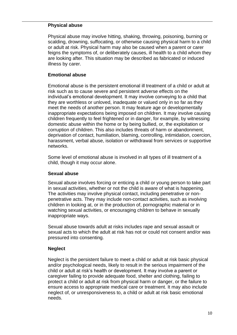# **Physical abuse**

Physical abuse may involve hitting, shaking, throwing, poisoning, burning or scalding, drowning, suffocating, or otherwise causing physical harm to a child or adult at risk. Physical harm may also be caused when a parent or carer feigns the symptoms of, or deliberately causes, ill health to a child whom they are looking after. This situation may be described as fabricated or induced illness by carer.

# **Emotional abuse**

Emotional abuse is the persistent emotional ill treatment of a child or adult at risk such as to cause severe and persistent adverse effects on the individual's emotional development. It may involve conveying to a child that they are worthless or unloved, inadequate or valued only in so far as they meet the needs of another person. It may feature age or developmentally inappropriate expectations being imposed on children. It may involve causing children frequently to feel frightened or in danger, for example, by witnessing domestic abuse within the home or by being bullied, or, the exploitation or corruption of children. This also includes threats of harm or abandonment, deprivation of contact, humiliation, blaming, controlling, intimidation, coercion, harassment, verbal abuse, isolation or withdrawal from services or supportive networks.

Some level of emotional abuse is involved in all types of ill treatment of a child, though it may occur alone.

# **Sexual abuse**

Sexual abuse involves forcing or enticing a child or young person to take part in sexual activities, whether or not the child is aware of what is happening. The activities may involve physical contact, including penetrative or nonpenetrative acts. They may include non-contact activities, such as involving children in looking at, or in the production of, pornographic material or in watching sexual activities, or encouraging children to behave in sexually inappropriate ways.

Sexual abuse towards adult at risks includes rape and sexual assault or sexual acts to which the adult at risk has not or could not consent and/or was pressured into consenting.

# **Neglect**

Neglect is the persistent failure to meet a child or adult at risk basic physical and/or psychological needs, likely to result in the serious impairment of the child or adult at risk's health or development. It may involve a parent or caregiver failing to provide adequate food, shelter and clothing, failing to protect a child or adult at risk from physical harm or danger, or the failure to ensure access to appropriate medical care or treatment. It may also include neglect of, or unresponsiveness to, a child or adult at risk basic emotional needs.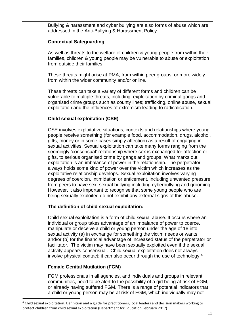Bullying & harassment and cyber bullying are also forms of abuse which are addressed in the Anti-Bullying & Harassment Policy.

# **Contextual Safeguarding**

As well as threats to the welfare of children & young people from within their families, children & young people may be vulnerable to abuse or exploitation from outside their families.

These threats might arise at PMA, from within peer groups, or more widely from within the wider community and/or online.

These threats can take a variety of different forms and children can be vulnerable to multiple threats, including: exploitation by criminal gangs and organised crime groups such as county lines; trafficking, online abuse, sexual exploitation and the influences of extremism leading to radicalisation.

# **Child sexual exploitation (CSE)**

CSE involves exploitative situations, contexts and relationships where young people receive something (for example food, accommodation, drugs, alcohol, gifts, money or in some cases simply affection) as a result of engaging in sexual activities. Sexual exploitation can take many forms ranging from the seemingly 'consensual' relationship where sex is exchanged for affection or gifts, to serious organised crime by gangs and groups. What marks out exploitation is an imbalance of power in the relationship. The perpetrator always holds some kind of power over the victim which increases as the exploitative relationship develops. Sexual exploitation involves varying degrees of coercion, intimidation or enticement, including unwanted pressure from peers to have sex, sexual bullying including cyberbullying and grooming. However, it also important to recognise that some young people who are being sexually exploited do not exhibit any external signs of this abuse.

# **The definition of child sexual exploitation:**

Child sexual exploitation is a form of child sexual abuse. It occurs where an individual or group takes advantage of an imbalance of power to coerce, manipulate or deceive a child or young person under the age of 18 into sexual activity (a) in exchange for something the victim needs or wants, and/or (b) for the financial advantage of increased status of the perpetrator or facilitator. The victim may have been sexually exploited even if the sexual activity appears consensual. Child sexual exploitation does not always involve physical contact; it can also occur through the use of technology.<sup>4</sup>

# **Female Genital Mutilation (FGM)**

FGM professionals in all agencies, and individuals and groups in relevant communities, need to be alert to the possibility of a girl being at risk of FGM, or already having suffered FGM. There is a range of potential indicators that a child or young person may be at risk of FGM, which individually may not

<sup>4</sup> Child sexual exploitation: Definition and a guide for practitioners, local leaders and decision makers working to protect children from child sexual exploitation (Department for Education February 2017)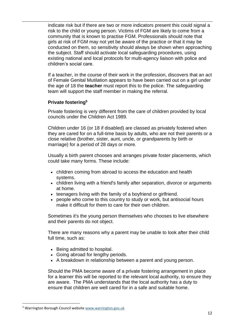indicate risk but if there are two or more indicators present this could signal a risk to the child or young person. Victims of FGM are likely to come from a community that is known to practise FGM. Professionals should note that girls at risk of FGM may not yet be aware of the practice or that it may be conducted on them, so sensitivity should always be shown when approaching the subject. Staff should activate local safeguarding procedures, using existing national and local protocols for multi-agency liaison with police and children's social care.

If a teacher, in the course of their work in the profession, discovers that an act of Female Genital Mutilation appears to have been carried out on a girl under the age of 18 the **teacher** must report this to the police. The safeguarding team will support the staff member in making the referral.

# **Private fostering<sup>5</sup>**

Private fostering is very different from the care of children provided by local councils under the Children Act 1989.

Children under 16 (or 18 if disabled) are classed as privately fostered when they are cared for on a full-time basis by adults, who are not their parents or a close relative (brother, sister, aunt, uncle, or grandparents by birth or marriage) for a period of 28 days or more.

Usually a birth parent chooses and arranges private foster placements, which could take many forms. These include:

- children coming from abroad to access the education and health systems.
- children living with a friend's family after separation, divorce or arguments at home.
- teenagers living with the family of a boyfriend or girlfriend.
- people who come to this country to study or work, but antisocial hours make it difficult for them to care for their own children.

Sometimes it's the young person themselves who chooses to live elsewhere and their parents do not object.

There are many reasons why a parent may be unable to look after their child full time, such as:

- Being admitted to hospital.
- Going abroad for lengthy periods.
- A breakdown in relationship between a parent and young person.

Should the PMA become aware of a private fostering arrangement in place for a learner this will be reported to the relevant local authority, to ensure they are aware. The PMA understands that the local authority has a duty to ensure that children are well cared for in a safe and suitable home.

<sup>5</sup> Warrington Borough Council websit[e www.warrington.gov.uk](http://www.warrington.gov.uk/)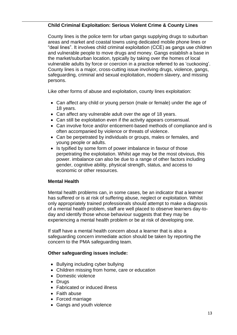# **Child Criminal Exploitation: Serious Violent Crime & County Lines**

County lines is the police term for urban gangs supplying drugs to suburban areas and market and coastal towns using dedicated mobile phone lines or "deal lines". It involves child criminal exploitation (CCE) as gangs use children and vulnerable people to move drugs and money. Gangs establish a base in the market/suburban location, typically by taking over the homes of local vulnerable adults by force or coercion in a practice referred to as 'cuckooing'. County lines is a major, cross-cutting issue involving drugs, violence, gangs, safeguarding, criminal and sexual exploitation, modern slavery, and missing persons.

Like other forms of abuse and exploitation, county lines exploitation:

- Can affect any child or young person (male or female) under the age of 18 years.
- Can affect any vulnerable adult over the age of 18 years.
- Can still be exploitation even if the activity appears consensual.
- Can involve force and/or enticement-based methods of compliance and is often accompanied by violence or threats of violence.
- Can be perpetrated by individuals or groups, males or females, and young people or adults.
- Is typified by some form of power imbalance in favour of those perpetrating the exploitation. Whilst age may be the most obvious, this power. imbalance can also be due to a range of other factors including gender, cognitive ability, physical strength, status, and access to economic or other resources.

# **Mental Health**

Mental health problems can, in some cases, be an indicator that a learner has suffered or is at risk of suffering abuse, neglect or exploitation. Whilst only appropriately trained professionals should attempt to make a diagnosis of a mental health problem, staff are well placed to observe learners day-today and identify those whose behaviour suggests that they may be experiencing a mental health problem or be at risk of developing one.

If staff have a mental health concern about a learner that is also a safeguarding concern immediate action should be taken by reporting the concern to the PMA safeguarding team.

# **Other safeguarding issues include:**

- Bullying including cyber bullying
- Children missing from home, care or education
- Domestic violence
- Drugs
- Fabricated or induced illness
- Faith abuse
- Forced marriage
- Gangs and youth violence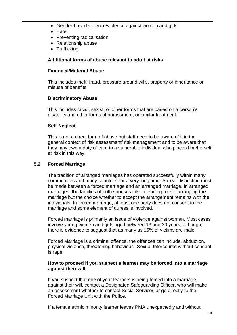- Gender-based violence/violence against women and girls
- Hate
- Preventing radicalisation
- Relationship abuse
- Trafficking

# **Additional forms of abuse relevant to adult at risks:**

#### **Financial/Material Abuse**

This includes theft, fraud, pressure around wills, property or inheritance or misuse of benefits.

# **Discriminatory Abuse**

This includes racist, sexist, or other forms that are based on a person's disability and other forms of harassment, or similar treatment.

# **Self-Neglect**

This is not a direct form of abuse but staff need to be aware of it in the general context of risk assessment/ risk management and to be aware that they may owe a duty of care to a vulnerable individual who places him/herself at risk in this way.

# **5.2 Forced Marriage**

The tradition of arranged marriages has operated successfully within many communities and many countries for a very long time. A clear distinction must be made between a forced marriage and an arranged marriage. In arranged marriages, the families of both spouses take a leading role in arranging the marriage but the choice whether to accept the arrangement remains with the individuals. In forced marriage, at least one party does not consent to the marriage and some element of duress is involved.

Forced marriage is primarily an issue of violence against women. Most cases involve young women and girls aged between 13 and 30 years, although, there is evidence to suggest that as many as 15% of victims are male.

Forced Marriage is a criminal offence, the offences can include, abduction, physical violence, threatening behaviour. Sexual Intercourse without consent is rape.

# **How to proceed if you suspect a learner may be forced into a marriage against their will.**

If you suspect that one of your learners is being forced into a marriage against their will, contact a Designated Safeguarding Officer, who will make an assessment whether to contact Social Services or go directly to the Forced Marriage Unit with the Police.

If a female ethnic minority learner leaves PMA unexpectedly and without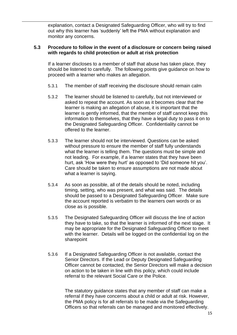explanation, contact a Designated Safeguarding Officer, who will try to find out why this learner has 'suddenly' left the PMA without explanation and monitor any concerns.

# **5.3 Procedure to follow in the event of a disclosure or concern being raised with regards to child protection or adult at risk protection**

If a learner discloses to a member of staff that abuse has taken place, they should be listened to carefully. The following points give guidance on how to proceed with a learner who makes an allegation.

- 5.3.1 The member of staff receiving the disclosure should remain calm
- 5.3.2 The learner should be listened to carefully, but not interviewed or asked to repeat the account. As soon as it becomes clear that the learner is making an allegation of abuse, it is important that the learner is gently informed, that the member of staff cannot keep this information to themselves, that they have a legal duty to pass it on to the Designated Safeguarding Officer. Confidentiality cannot be offered to the learner.
- 5.3.3 The learner should not be interviewed. Questions can be asked without pressure to ensure the member of staff fully understands what the learner is telling them. The questions must be simple and not leading. For example, if a learner states that they have been hurt, ask 'How were they hurt' as opposed to 'Did someone hit you'. Care should be taken to ensure assumptions are not made about what a learner is saying.
- 5.3.4 As soon as possible, all of the details should be noted, including timing, setting, who was present, and what was said. The details should be passed to a Designated Safeguarding Officer. Make sure the account reported is verbatim to the learners own words or as close as is possible.
- 5.3.5 The Designated Safeguarding Officer will discuss the line of action they have to take, so that the learner is informed of the next stage. It may be appropriate for the Designated Safeguarding Officer to meet with the learner. Details will be logged on the confidential log on the sharepoint
- 5.3.6 If a Designated Safeguarding Officer is not available, contact the Senior Directors. If the Lead or Deputy Designated Safeguarding Officer cannot be contacted, the Senior Directors will make a decision on action to be taken in line with this policy, which could include referral to the relevant Social Care or the Police.

The statutory guidance states that any member of staff can make a referral if they have concerns about a child or adult at risk. However, the PMA policy is for all referrals to be made via the Safeguarding Officers so that referrals can be managed and monitored effectively.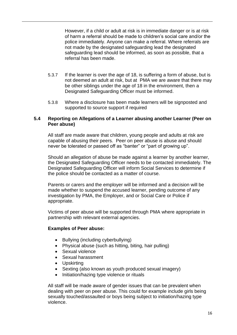However, if a child or adult at risk is in immediate danger or is at risk of harm a referral should be made to children's social care and/or the police immediately. Anyone can make a referral. Where referrals are not made by the designated safeguarding lead the designated safeguarding lead should be informed, as soon as possible, that a referral has been made.

- 5.3.7 If the learner is over the age of 18, is suffering a form of abuse, but is not deemed an adult at risk, but at PMA we are aware that there may be other siblings under the age of 18 in the environment, then a Designated Safeguarding Officer must be informed.
- 5.3.8 Where a disclosure has been made learners will be signposted and supported to source support if required

# **5.4 Reporting on Allegations of a Learner abusing another Learner (Peer on Peer abuse)**

All staff are made aware that children, young people and adults at risk are capable of abusing their peers. Peer on peer abuse is abuse and should never be tolerated or passed off as "banter" or "part of growing up".

Should an allegation of abuse be made against a learner by another learner, the Designated Safeguarding Officer needs to be contacted immediately. The Designated Safeguarding Officer will inform Social Services to determine if the police should be contacted as a matter of course.

Parents or carers and the employer will be informed and a decision will be made whether to suspend the accused learner, pending outcome of any investigation by PMA, the Employer, and or Social Care or Police if appropriate.

Victims of peer abuse will be supported through PMA where appropriate in partnership with relevant external agencies.

# **Examples of Peer abuse:**

- Bullying (including cyberbullying)
- Physical abuse (such as hitting, biting, hair pulling)
- Sexual violence
- Sexual harassment
- Upskirting
- Sexting (also known as youth produced sexual imagery)
- Initiation/hazing type violence or rituals

All staff will be made aware of gender issues that can be prevalent when dealing with peer on peer abuse. This could for example include girls being sexually touched/assaulted or boys being subject to initiation/hazing type violence.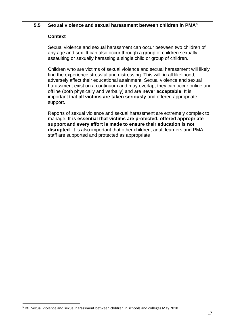# **5.5 Sexual violence and sexual harassment between children in PMA<sup>6</sup>**

# **Context**

Sexual violence and sexual harassment can occur between two children of any age and sex. It can also occur through a group of children sexually assaulting or sexually harassing a single child or group of children.

Children who are victims of sexual violence and sexual harassment will likely find the experience stressful and distressing. This will, in all likelihood, adversely affect their educational attainment. Sexual violence and sexual harassment exist on a continuum and may overlap, they can occur online and offline (both physically and verbally) and are **never acceptable**. It is important that **all victims are taken seriously** and offered appropriate support.

Reports of sexual violence and sexual harassment are extremely complex to manage. **It is essential that victims are protected, offered appropriate support and every effort is made to ensure their education is not disrupted**. It is also important that other children, adult learners and PMA staff are supported and protected as appropriate

<sup>6</sup> DfE Sexual Violence and sexual harassment between children in schools and colleges May 2018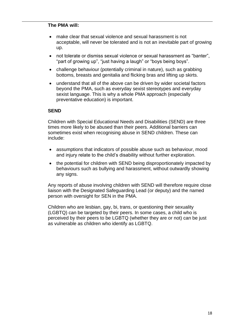#### **The PMA will:**

- make clear that sexual violence and sexual harassment is not acceptable, will never be tolerated and is not an inevitable part of growing up.
- not tolerate or dismiss sexual violence or sexual harassment as "banter", "part of growing up", "just having a laugh" or "boys being boys".
- challenge behaviour (potentially criminal in nature), such as grabbing bottoms, breasts and genitalia and flicking bras and lifting up skirts.
- understand that all of the above can be driven by wider societal factors beyond the PMA, such as everyday sexist stereotypes and everyday sexist language. This is why a whole PMA approach (especially preventative education) is important.

# **SEND**

Children with Special Educational Needs and Disabilities (SEND) are three times more likely to be abused than their peers. Additional barriers can sometimes exist when recognising abuse in SEND children. These can include:

- assumptions that indicators of possible abuse such as behaviour, mood and injury relate to the child's disability without further exploration.
- the potential for children with SEND being disproportionately impacted by behaviours such as bullying and harassment, without outwardly showing any signs.

Any reports of abuse involving children with SEND will therefore require close liaison with the Designated Safeguarding Lead (or deputy) and the named person with oversight for SEN in the PMA.

Children who are lesbian, gay, bi, trans, or questioning their sexuality (LGBTQ) can be targeted by their peers. In some cases, a child who is perceived by their peers to be LGBTQ (whether they are or not) can be just as vulnerable as children who identify as LGBTQ.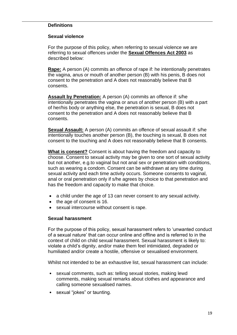# **Definitions**

#### **Sexual violence**

For the purpose of this policy, when referring to sexual violence we are referring to sexual offences under the **Sexual Offences Act 2003** as described below:

**Rape:** A person (A) commits an offence of rape if: he intentionally penetrates the vagina, anus or mouth of another person (B) with his penis, B does not consent to the penetration and A does not reasonably believe that B consents.

**Assault by Penetration:** A person (A) commits an offence if: s/he intentionally penetrates the vagina or anus of another person (B) with a part of her/his body or anything else, the penetration is sexual, B does not consent to the penetration and A does not reasonably believe that B consents.

**Sexual Assault:** A person (A) commits an offence of sexual assault if: s/he intentionally touches another person (B), the touching is sexual, B does not consent to the touching and A does not reasonably believe that B consents.

**What is consent?** Consent is about having the freedom and capacity to choose. Consent to sexual activity may be given to one sort of sexual activity but not another, e.g.to vaginal but not anal sex or penetration with conditions, such as wearing a condom. Consent can be withdrawn at any time during sexual activity and each time activity occurs. Someone consents to vaginal, anal or oral penetration only if s/he agrees by choice to that penetration and has the freedom and capacity to make that choice.

- a child under the age of 13 can never consent to any sexual activity.
- the age of consent is 16.
- sexual intercourse without consent is rape.

# **Sexual harassment**

For the purpose of this policy, sexual harassment refers to 'unwanted conduct of a sexual nature' that can occur online and offline and is referred to in the context of child on child sexual harassment. Sexual harassment is likely to: violate a child's dignity, and/or make them feel intimidated, degraded or humiliated and/or create a hostile, offensive or sexualised environment.

Whilst not intended to be an exhaustive list, sexual harassment can include:

- sexual comments, such as: telling sexual stories, making lewd comments, making sexual remarks about clothes and appearance and calling someone sexualised names.
- sexual "jokes" or taunting.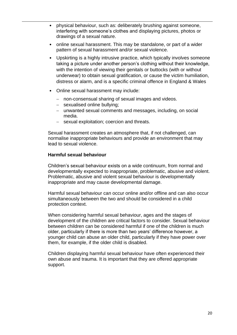- physical behaviour, such as: deliberately brushing against someone, interfering with someone's clothes and displaying pictures, photos or drawings of a sexual nature.
- online sexual harassment. This may be standalone, or part of a wider pattern of sexual harassment and/or sexual violence.
- Upskirting is a highly intrusive practice, which typically involves someone taking a picture under another person's clothing without their knowledge, with the intention of viewing their genitals or buttocks (with or without underwear) to obtain sexual gratification, or cause the victim humiliation, distress or alarm, and is a specific criminal offence in England & Wales
- Online sexual harassment may include:
	- − non-consensual sharing of sexual images and videos.
	- − sexualised online bullying;
	- − unwanted sexual comments and messages, including, on social media.
	- − sexual exploitation; coercion and threats.

Sexual harassment creates an atmosphere that, if not challenged, can normalise inappropriate behaviours and provide an environment that may lead to sexual violence.

# **Harmful sexual behaviour**

Children's sexual behaviour exists on a wide continuum, from normal and developmentally expected to inappropriate, problematic, abusive and violent. Problematic, abusive and violent sexual behaviour is developmentally inappropriate and may cause developmental damage.

Harmful sexual behaviour can occur online and/or offline and can also occur simultaneously between the two and should be considered in a child protection context.

When considering harmful sexual behaviour, ages and the stages of development of the children are critical factors to consider. Sexual behaviour between children can be considered harmful if one of the children is much older, particularly if there is more than two years' difference however, a younger child can abuse an older child, particularly if they have power over them, for example, if the older child is disabled.

Children displaying harmful sexual behaviour have often experienced their own abuse and trauma. It is important that they are offered appropriate support.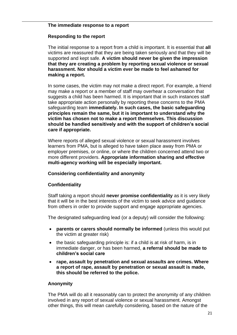#### **The immediate response to a report**

# **Responding to the report**

The initial response to a report from a child is important. It is essential that **all** victims are reassured that they are being taken seriously and that they will be supported and kept safe. **A victim should never be given the impression that they are creating a problem by reporting sexual violence or sexual harassment. Nor should a victim ever be made to feel ashamed for making a report.**

In some cases, the victim may not make a direct report. For example, a friend may make a report or a member of staff may overhear a conversation that suggests a child has been harmed. It is important that in such instances staff take appropriate action personally by reporting these concerns to the PMA safeguarding team **immediately. In such cases, the basic safeguarding principles remain the same, but it is important to understand why the victim has chosen not to make a report themselves. This discussion should be handled sensitively and with the support of children's social care if appropriate.**

Where reports of alleged sexual violence or sexual harassment involves learners from PMA, but is alleged to have taken place away from PMA or employer premises, or online, or where the children concerned attend two or more different providers. **Appropriate information sharing and effective multi-agency working will be especially important.**

# **Considering confidentiality and anonymity**

# **Confidentiality**

Staff taking a report should **never promise confidentiality** as it is very likely that it will be in the best interests of the victim to seek advice and guidance from others in order to provide support and engage appropriate agencies.

The designated safeguarding lead (or a deputy) will consider the following:

- **parents or carers should normally be informed** (unless this would put the victim at greater risk)
- the basic safeguarding principle is: if a child is at risk of harm, is in immediate danger, or has been harmed, **a referral should be made to children's social care**
- **rape, assault by penetration and sexual assaults are crimes. Where a report of rape, assault by penetration or sexual assault is made, this should be referred to the police.**

# **Anonymity**

The PMA will do all it reasonably can to protect the anonymity of any children involved in any report of sexual violence or sexual harassment. Amongst other things, this will mean carefully considering, based on the nature of the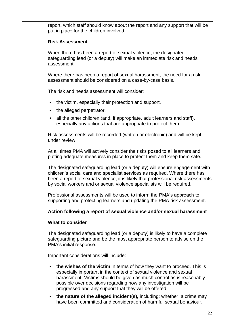report, which staff should know about the report and any support that will be put in place for the children involved.

# **Risk Assessment**

When there has been a report of sexual violence, the designated safeguarding lead (or a deputy) will make an immediate risk and needs assessment.

Where there has been a report of sexual harassment, the need for a risk assessment should be considered on a case-by-case basis.

The risk and needs assessment will consider:

- the victim, especially their protection and support.
- the alleged perpetrator.
- all the other children (and, if appropriate, adult learners and staff), especially any actions that are appropriate to protect them.

Risk assessments will be recorded (written or electronic) and will be kept under review.

At all times PMA will actively consider the risks posed to all learners and putting adequate measures in place to protect them and keep them safe.

The designated safeguarding lead (or a deputy) will ensure engagement with children's social care and specialist services as required. Where there has been a report of sexual violence, it is likely that professional risk assessments by social workers and or sexual violence specialists will be required.

Professional assessments will be used to inform the PMA's approach to supporting and protecting learners and updating the PMA risk assessment.

# **Action following a report of sexual violence and/or sexual harassment**

# **What to consider**

The designated safeguarding lead (or a deputy) is likely to have a complete safeguarding picture and be the most appropriate person to advise on the PMA's initial response.

Important considerations will include:

- **the wishes of the victim** in terms of how they want to proceed. This is especially important in the context of sexual violence and sexual harassment. Victims should be given as much control as is reasonably possible over decisions regarding how any investigation will be progressed and any support that they will be offered.
- **the nature of the alleged incident(s),** including: whether a crime may have been committed and consideration of harmful sexual behaviour.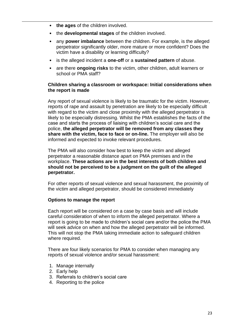- **the ages** of the children involved.
- the **developmental stages** of the children involved.
- any **power imbalance** between the children. For example, is the alleged perpetrator significantly older, more mature or more confident? Does the victim have a disability or learning difficulty?
- is the alleged incident a **one-off** or a **sustained pattern** of abuse.
- are there **ongoing risks** to the victim, other children, adult learners or school or PMA staff?

# **Children sharing a classroom or workspace: Initial considerations when the report is made**

Any report of sexual violence is likely to be traumatic for the victim. However, reports of rape and assault by penetration are likely to be especially difficult with regard to the victim and close proximity with the alleged perpetrator is likely to be especially distressing. Whilst the PMA establishes the facts of the case and starts the process of liaising with children's social care and the police, **the alleged perpetrator will be removed from any classes they share with the victim, face to face or on-line.** The employer will also be informed and expected to invoke relevant procedures.

The PMA will also consider how best to keep the victim and alleged perpetrator a reasonable distance apart on PMA premises and in the workplace. **These actions are in the best interests of both children and should not be perceived to be a judgment on the guilt of the alleged perpetrator.**

For other reports of sexual violence and sexual harassment, the proximity of the victim and alleged perpetrator, should be considered immediately

# **Options to manage the report**

Each report will be considered on a case by case basis and will include careful consideration of when to inform the alleged perpetrator. Where a report is going to be made to children's social care and/or the police the PMA will seek advice on when and how the alleged perpetrator will be informed. This will not stop the PMA taking immediate action to safeguard children where required.

There are four likely scenarios for PMA to consider when managing any reports of sexual violence and/or sexual harassment:

- 1. Manage internally
- 2. Early help
- 3. Referrals to children's social care
- 4. Reporting to the police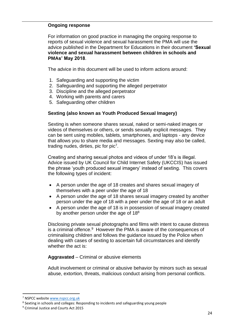# **Ongoing response**

For information on good practice in managing the ongoing response to reports of sexual violence and sexual harassment the PMA will use the advice published in the Department for Educations in their document **'Sexual violence and sexual harassment between children in schools and PMAs' May 2018**.

The advice in this document will be used to inform actions around:

- 1. Safeguarding and supporting the victim
- 2. Safeguarding and supporting the alleged perpetrator
- 3. Discipline and the alleged perpetrator
- 4. Working with parents and carers
- 5. Safeguarding other children

# **Sexting (also known as Youth Produced Sexual Imagery)**

Sexting is when someone shares sexual, naked or semi-naked images or videos of themselves or others, or sends sexually explicit messages. They can be sent using mobiles, tablets, smartphones, and laptops - any device that allows you to share media and messages. Sexting may also be called, trading nudes, dirties, pic for pic<sup>7</sup>.

Creating and sharing sexual photos and videos of under 18's is illegal. Advice issued by UK Council for Child Internet Safety (UKCCIS) has issued the phrase 'youth produced sexual imagery' instead of sexting. This covers the following types of incident:

- A person under the age of 18 creates and shares sexual imagery of themselves with a peer under the age of 18
- A person under the age of 18 shares sexual imagery created by another person under the age of 18 with a peer under the age of 18 or an adult
- A person under the age of 18 is in possession of sexual imagery created by another person under the age of 18<sup>8</sup>

Disclosing private sexual photographs and films with intent to cause distress is a criminal offence.<sup>9</sup> However the PMA is aware of the consequences of criminalising children and follows the guidance issued by the Police when dealing with cases of sexting to ascertain full circumstances and identify whether the act is:

# **Aggravated** – Criminal or abusive elements

Adult involvement or criminal or abusive behavior by minors such as sexual abuse, extortion, threats, malicious conduct arising from personal conflicts.

<sup>7</sup> NSPCC websit[e www.nspcc.org.uk](http://www.nspcc.org.uk/)

<sup>&</sup>lt;sup>8</sup> Sexting in schools and colleges: Responding to incidents and safeguarding young people

<sup>9</sup> Criminal Justice and Courts Act 2015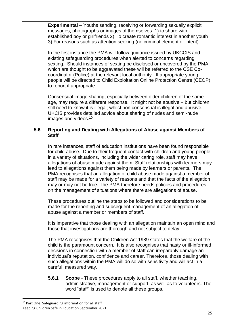**Experimental** – Youths sending, receiving or forwarding sexually explicit messages, photographs or images of themselves: 1) to share with established boy or girlfriends 2) To create romantic interest in another youth 3) For reasons such as attention seeking (no criminal element or intent)

In the first instance the PMA will follow guidance issued by UKCCIS and existing safeguarding procedures when alerted to concerns regarding sexting. Should instances of sexting be disclosed or uncovered by the PMA, which are thought to be aggravated these will be referred to the CSE Cocoordinator (Police) at the relevant local authority. If appropriate young people will be directed to Child Exploitation Online Protection Centre (CEOP) to report if appropriate

Consensual image sharing, especially between older children of the same age, may require a different response. It might not be abusive – but children still need to know it is illegal; whilst non consensual is illegal and abusive. UKCIS provides detailed advice about sharing of nudes and semi-nude images and videos.<sup>10</sup>

# **5.6 Reporting and Dealing with Allegations of Abuse against Members of Staff**

In rare instances, staff of education institutions have been found responsible for child abuse. Due to their frequent contact with children and young people in a variety of situations, including the wider caring role, staff may have allegations of abuse made against them. Staff relationships with learners may lead to allegations against them being made by learners or parents. The PMA recognises that an allegation of child abuse made against a member of staff may be made for a variety of reasons and that the facts of the allegation may or may not be true. The PMA therefore needs policies and procedures on the management of situations where there are allegations of abuse.

These procedures outline the steps to be followed and considerations to be made for the reporting and subsequent management of an allegation of abuse against a member or members of staff.

It is imperative that those dealing with an allegation maintain an open mind and those that investigations are thorough and not subject to delay.

The PMA recognises that the Children Act 1989 states that the welfare of the child is the paramount concern. It is also recognises that hasty or ill-informed decisions in connection with a member of staff can irreparably damage an individual's reputation, confidence and career. Therefore, those dealing with such allegations within the PMA will do so with sensitivity and will act in a careful, measured way.

**5.6.1 Scope** - These procedures apply to all staff, whether teaching, administrative, management or support, as well as to volunteers. The word "staff" is used to denote all these groups.

<sup>&</sup>lt;sup>10</sup> Part One: Safeguarding information for all staff

Keeping Children Safe in Education September 2021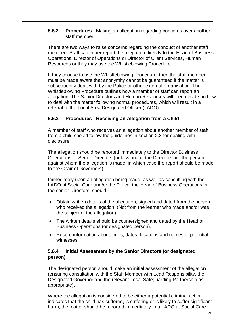# **5.6.2 Procedures** - Making an allegation regarding concerns over another staff member.

There are two ways to raise concerns regarding the conduct of another staff member. Staff can either report the allegation directly to the Head of Business Operations, Director of Operations or Director of Client Services, Human Resources or they may use the Whistleblowing Procedure.

If they choose to use the Whistleblowing Procedure, then the staff member must be made aware that anonymity cannot be guaranteed if the matter is subsequently dealt with by the Police or other external organisation. The Whistleblowing Procedure outlines how a member of staff can report an allegation. The Senior Directors and Human Resources will then decide on how to deal with the matter following normal procedures, which will result in a referral to the Local Area Designated Officer (LADO).

# **5.6.3 Procedures - Receiving an Allegation from a Child**

A member of staff who receives an allegation about another member of staff from a child should follow the guidelines in section 2.3 for dealing with disclosure.

The allegation should be reported immediately to the Director Business Operations or Senior Directors (unless one of the Directors are the person against whom the allegation is made, in which case the report should be made to the Chair of Governors).

Immediately upon an allegation being made, as well as consulting with the LADO at Social Care and/or the Police, the Head of Business Operations or the senior Directors, should:

- Obtain written details of the allegation, signed and dated from the person who received the allegation. (Not from the learner who made and/or was the subject of the allegation)
- The written details should be countersigned and dated by the Head of Business Operations (or designated person).
- Record information about times, dates, locations and names of potential witnesses.

# **5.6.4 Initial Assessment by the Senior Directors (or designated person)**

The designated person should make an initial assessment of the allegation (ensuring consultation with the Staff Member with Lead Responsibility, the Designated Governor and the relevant Local Safeguarding Partnership as appropriate).

Where the allegation is considered to be either a potential criminal act or indicates that the child has suffered, is suffering or is likely to suffer significant harm, the matter should be reported immediately to a LADO at Social Care.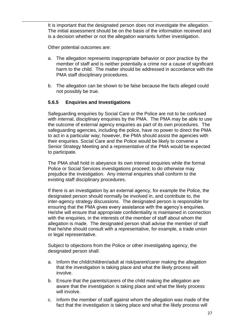It is important that the designated person does not investigate the allegation. The initial assessment should be on the basis of the information received and is a decision whether or not the allegation warrants further investigation.

Other potential outcomes are:

- a. The allegation represents inappropriate behavior or poor practice by the member of staff and is neither potentially a crime nor a cause of significant harm to the child. The matter should be addressed in accordance with the PMA staff disciplinary procedures.
- b. The allegation can be shown to be false because the facts alleged could not possibly be true.

# **5.6.5 Enquiries and Investigations**

Safeguarding enquiries by Social Care or the Police are not to be confused with internal, disciplinary enquiries by the PMA. The PMA may be able to use the outcome of external agency enquiries as part of its own procedures. The safeguarding agencies, including the police, have no power to direct the PMA to act in a particular way; however, the PMA should assist the agencies with their enquiries. Social Care and the Police would be likely to convene a Senior Strategy Meeting and a representative of the PMA would be expected to participate.

The PMA shall hold in abeyance its own internal enquiries while the formal Police or Social Services investigations proceed; to do otherwise may prejudice the investigation. Any internal enquiries shall conform to the existing staff disciplinary procedures.

If there is an investigation by an external agency, for example the Police, the designated person should normally be involved in, and contribute to, the inter-agency strategy discussions. The designated person is responsible for ensuring that the PMA gives every assistance with the agency's enquiries. He/she will ensure that appropriate confidentiality is maintained in connection with the enquiries, in the interests of the member of staff about whom the allegation is made. The designated person shall advise the member of staff that he/she should consult with a representative, for example, a trade union or legal representative.

Subject to objections from the Police or other investigating agency, the designated person shall:

- a. Inform the child/children/adult at risk/parent/carer making the allegation that the investigation is taking place and what the likely process will involve.
- b. Ensure that the parents/carers of the child making the allegation are aware that the investigation is taking place and what the likely process will involve.
- c. Inform the member of staff against whom the allegation was made of the fact that the investigation is taking place and what the likely process will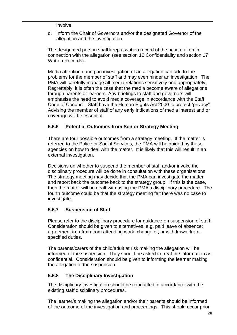involve.

d. Inform the Chair of Governors and/or the designated Governor of the allegation and the investigation.

The designated person shall keep a written record of the action taken in connection with the allegation (see section 16 Confidentiality and section 17 Written Records).

Media attention during an investigation of an allegation can add to the problems for the member of staff and may even hinder an investigation. The PMA will carefully manage all media relations sensitively and appropriately. Regrettably, it is often the case that the media become aware of allegations through parents or learners. Any briefings to staff and governors will emphasise the need to avoid media coverage in accordance with the Staff Code of Conduct. Staff have the Human Rights Act 2000 to protect "privacy". Advising the member of staff of any early indications of media interest and or coverage will be essential.

# **5.6.6 Potential Outcomes from Senior Strategy Meeting**

There are four possible outcomes from a strategy meeting. If the matter is referred to the Police or Social Services, the PMA will be guided by these agencies on how to deal with the matter. It is likely that this will result in an external investigation.

Decisions on whether to suspend the member of staff and/or invoke the disciplinary procedure will be done in consultation with these organisations. The strategy meeting may decide that the PMA can investigate the matter and report back the outcome back to the strategy group. If this is the case, then the matter will be dealt with using the PMA's disciplinary procedure. The fourth outcome could be that the strategy meeting felt there was no case to investigate.

# **5.6.7 Suspension of Staff**

Please refer to the disciplinary procedure for guidance on suspension of staff. Consideration should be given to alternatives: e.g. paid leave of absence; agreement to refrain from attending work; change of, or withdrawal from, specified duties.

The parents/carers of the child/adult at risk making the allegation will be informed of the suspension. They should be asked to treat the information as confidential. Consideration should be given to informing the learner making the allegation of the suspension.

# **5.6.8 The Disciplinary Investigation**

The disciplinary investigation should be conducted in accordance with the existing staff disciplinary procedures.

The learner/s making the allegation and/or their parents should be informed of the outcome of the investigation and proceedings. This should occur prior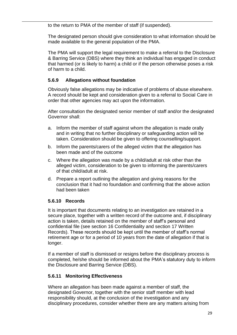to the return to PMA of the member of staff (if suspended).

The designated person should give consideration to what information should be made available to the general population of the PMA.

The PMA will support the legal requirement to make a referral to the Disclosure & Barring Service (DBS) where they think an individual has engaged in conduct that harmed (or is likely to harm) a child or if the person otherwise poses a risk of harm to a child.

# **5.6.9 Allegations without foundation**

Obviously false allegations may be indicative of problems of abuse elsewhere. A record should be kept and consideration given to a referral to Social Care in order that other agencies may act upon the information.

After consultation the designated senior member of staff and/or the designated Governor shall:

- a. Inform the member of staff against whom the allegation is made orally and in writing that no further disciplinary or safeguarding action will be taken. Consideration should be given to offering counselling/support.
- b. Inform the parents/carers of the alleged victim that the allegation has been made and of the outcome
- c. Where the allegation was made by a child/adult at risk other than the alleged victim, consideration to be given to informing the parents/carers of that child/adult at risk.
- d. Prepare a report outlining the allegation and giving reasons for the conclusion that it had no foundation and confirming that the above action had been taken

# **5.6.10 Records**

It is important that documents relating to an investigation are retained in a secure place, together with a written record of the outcome and, if disciplinary action is taken, details retained on the member of staff's personal and confidential file (see section 16 Confidentiality and section 17 Written Records). These records should be kept until the member of staff's normal retirement age or for a period of 10 years from the date of allegation if that is longer.

If a member of staff is dismissed or resigns before the disciplinary process is completed, he/she should be informed about the PMA's statutory duty to inform the Disclosure and Barring Service (DBS).

# **5.6.11 Monitoring Effectiveness**

Where an allegation has been made against a member of staff, the designated Governor, together with the senior staff member with lead responsibility should, at the conclusion of the investigation and any disciplinary procedures, consider whether there are any matters arising from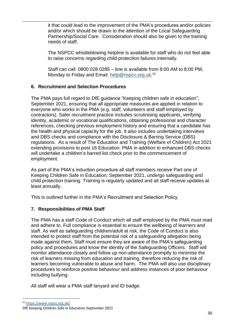it that could lead to the improvement of the PMA's procedures and/or policies and/or which should be drawn to the attention of the Local Safeguarding Partnership/Social Care. Consideration should also be given to the training needs of staff.

The NSPCC whistleblowing helpline is available for staff who do not feel able to raise concerns regarding child protection failures internally.

Staff can call: 0800 028 0285 – line is available from 8:00 AM to 8:00 PM, Monday to Friday and Email: **help@nspcc.org.uk.<sup>11</sup>** 

# <span id="page-29-0"></span>**6. Recruitment and Selection Procedures**

The PMA pays full regard to DfE guidance "Keeping children safe in education", September 2021, ensuring that all appropriate measures are applied in relation to everyone who works in the PMA (e.g. staff, volunteers and staff employed by contractors). Safer recruitment practice includes scrutinising applicants, verifying identity, academic or vocational qualifications, obtaining professional and character references, checking previous employment history and ensuring that a candidate has the health and physical capacity for the job. It also includes undertaking interviews and DBS checks and compliance with the Disclosure & Barring Service (DBS) regulations. As a result of The Education and Training (Welfare of Children) Act 2021 extending provisions to post 16 Education. PMA in addition to enhanced DBS checks will undertake a children's barred list check prior to the commencement of employment.

As part of the PMA's induction procedure all staff members receive Part one of Keeping Children Safe in Education; September 2021, undergo safeguarding and child protection training. Training is regularly updated and all staff receive updates at least annually.

This is outlined further in the PMA's Recruitment and Selection Policy.

# <span id="page-29-1"></span>**7. Responsibilities of PMA Staff**

The PMA has a staff Code of Conduct which all staff employed by the PMA must read and adhere to. Full compliance is essential to ensure the wellbeing of learners and staff. As well as safeguarding children/adult at risk, the Code of Conduct is also intended to protect staff from the potential risk of a safeguarding allegation being made against them. Staff must ensure they are aware of the PMA's safeguarding policy and procedures and know the identity of the Safeguarding Officers. Staff will monitor attendance closely and follow up non-attendance promptly to minimise the risk of learners missing from education and training, therefore reducing the risk of learners becoming vulnerable to abuse and harm. The PMA will also use disciplinary procedures to reinforce positive behaviour and address instances of poor behaviour including bullying.

All staff will wear a PMA staff lanyard and ID badge.

<sup>11</sup> <https://www.nspcc.org.uk/>

DfE Keeping Children Safe in Education September 2021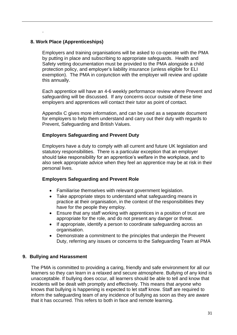# **8. Work Place (Apprenticeships)**

.

Employers and training organisations will be asked to co-operate with the PMA by putting in place and subscribing to appropriate safeguards. Health and Safety vetting documentation must be provided to the PMA alongside a child protection policy, and employer's liability insurance (unless eligible for ELI exemption). The PMA in conjunction with the employer will review and update this annually.

Each apprentice will have an 4-6 weekly performance review where Prevent and safeguarding will be discussed. If any concerns occur outside of these time employers and apprentices will contact their tutor as point of contact.

Appendix C gives more information, and can be used as a separate document for employers to help them understand and carry out their duty with regards to Prevent, Safeguarding and British Values.

# **Employers Safeguarding and Prevent Duty**

Employers have a duty to comply with all current and future UK legislation and statutory responsibilities. There is a particular exception that an employer should take responsibility for an apprentice's welfare in the workplace, and to also seek appropriate advice when they feel an apprentice may be at risk in their personal lives.

# **Employers Safeguarding and Prevent Role**

- Familiarise themselves with relevant government legislation.
- Take appropriate steps to understand what safeguarding means in practice at their organisation, in the context of the responsibilities they have for the people they employ.
- Ensure that any staff working with apprentices in a position of trust are appropriate for the role, and do not present any danger or threat.
- If appropriate, identify a person to coordinate safeguarding across an organisation.
- Demonstrate a commitment to the principles that underpin the Prevent Duty, referring any issues or concerns to the Safeguarding Team at PMA

# <span id="page-30-0"></span>**9. Bullying and Harassment**

The PMA is committed to providing a caring, friendly and safe environment for all our learners so they can learn in a relaxed and secure atmosphere. Bullying of any kind is unacceptable. If bullying does occur, all learners should be able to tell and know that incidents will be dealt with promptly and effectively. This means that *anyone* who knows that bullying is happening is expected to let staff know. Staff are required to inform the safeguarding team of any incidence of bullying as soon as they are aware that it has occurred. This refers to both in face and remote learning.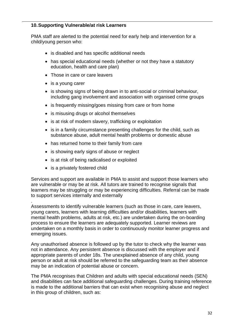# <span id="page-31-0"></span>**10.Supporting Vulnerable/at risk Learners**

PMA staff are alerted to the potential need for early help and intervention for a child/young person who:

- is disabled and has specific additional needs
- has special educational needs (whether or not they have a statutory education, health and care plan)
- Those in care or care leavers
- is a young carer
- is showing signs of being drawn in to anti-social or criminal behaviour, including gang involvement and association with organised crime groups
- is frequently missing/goes missing from care or from home
- is misusing drugs or alcohol themselves
- is at risk of modern slavery, trafficking or exploitation
- is in a family circumstance presenting challenges for the child, such as substance abuse, adult mental health problems or domestic abuse
- has returned home to their family from care
- is showing early signs of abuse or neglect
- is at risk of being radicalised or exploited
- is a privately fostered child

.

Services and support are available in PMA to assist and support those learners who are vulnerable or may be at risk. All tutors are trained to recognise signals that learners may be struggling or may be experiencing difficulties. Referral can be made to support services internally and externally

Assessments to identify vulnerable learners (such as those in care, care leavers, young carers, learners with learning difficulties and/or disabilities, learners with mental health problems, adults at risk, etc.) are undertaken during the on-boarding process to ensure the learners are adequately supported. Learner reviews are undertaken on a monthly basis in order to continuously monitor learner progress and emerging issues.

Any unauthorised absence is followed up by the tutor to check why the learner was not in attendance. Any persistent absence is discussed with the employer and if appropriate parents of under 18s. The unexplained absence of any child, young person or adult at risk should be referred to the safeguarding team as their absence may be an indication of potential abuse or concern.

The PMA recognises that Children and adults with special educational needs (SEN) and disabilities can face additional safeguarding challenges. During training reference is made to the additional barriers that can exist when recognising abuse and neglect in this group of children, such as: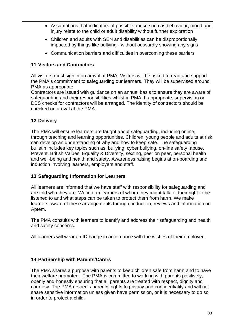- Assumptions that indicators of possible abuse such as behaviour, mood and injury relate to the child or adult disability without further exploration
- Children and adults with SEN and disabilities can be disproportionally impacted by things like bullying - without outwardly showing any signs
- Communication barriers and difficulties in overcoming these barriers

# <span id="page-32-0"></span>**11.Visitors and Contractors**

All visitors must sign in on arrival at PMA. Visitors will be asked to read and support the PMA's commitment to safeguarding our learners. They will be supervised around PMA as appropriate.

Contractors are issued with guidance on an annual basis to ensure they are aware of safeguarding and their responsibilities whilst in PMA. If appropriate, supervision or DBS checks for contractors will be arranged. The identity of contractors should be checked on arrival at the PMA.

# **12.Delivery**

The PMA will ensure learners are taught about safeguarding, including online, through teaching and learning opportunities. Children, young people and adults at risk can develop an understanding of why and how to keep safe. The safeguarding bulletin includes key topics such as, bullying, cyber bullying, on-line safety, abuse, Prevent, British Values, Equality & Diversity, sexting, peer on peer, personal health and well-being and health and safety. Awareness raising begins at on-boarding and induction involving learners, employers and staff.

# <span id="page-32-1"></span>**13.Safeguarding Information for Learners**

All learners are informed that we have staff with responsibility for safeguarding and are told who they are. We inform learners of whom they might talk to, their right to be listened to and what steps can be taken to protect them from harm. We make learners aware of these arrangements through, induction, reviews and information on Aptem.

The PMA consults with learners to identify and address their safeguarding and health and safety concerns.

All learners will wear an ID badge in accordance with the wishes of their employer.

# <span id="page-32-2"></span>**14.Partnership with Parents/Carers**

The PMA shares a purpose with parents to keep children safe from harm and to have their welfare promoted. The PMA is committed to working with parents positively, openly and honestly ensuring that all parents are treated with respect, dignity and courtesy. The PMA respects parents' rights to privacy and confidentiality and will not share sensitive information unless given have permission, or it is necessary to do so in order to protect a child.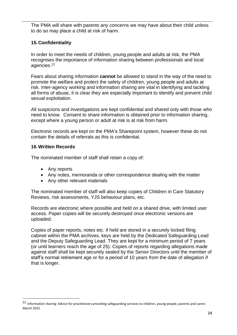The PMA will share with parents any concerns we may have about their child unless to do so may place a child at risk of harm.

# <span id="page-33-0"></span>**15.Confidentiality**

In order to meet the needs of children, young people and adults at risk, the PMA recognises the importance of information sharing between professionals and local agencies.<sup>12</sup>

Fears about sharing information **cannot** be allowed to stand in the way of the need to promote the welfare and protect the safety of children, young people and adults at risk. Inter-agency working and information sharing are vital in identifying and tackling all forms of abuse, it is clear they are especially important to identify and prevent child sexual exploitation.

All suspicions and investigations are kept confidential and shared only with those who need to know. Consent to share information is obtained prior to information sharing, except where a young person or adult at risk is at risk from harm.

Electronic records are kept on the PMA's Sharepoint system, however these do not contain the details of referrals as this is confidential.

# <span id="page-33-1"></span>**16.Written Records**

The nominated member of staff shall retain a copy of:

- Any reports
- Any notes, memoranda or other correspondence dealing with the matter
- Any other relevant materials

The nominated member of staff will also keep copies of Children in Care Statutory Reviews, risk assessments, YJS behaviour plans, etc.

Records are electronic where possible and held on a shared drive, with limited user access. Paper copies will be securely destroyed once electronic versions are uploaded.

Copies of paper reports, notes etc. if held are stored in a securely locked filing cabinet within the PMA archives, keys are held by the Dedicated Safeguarding Lead and the Deputy Safeguarding Lead. They are kept for a minimum period of 7 years (or until learners reach the age of 25). Copies of reports regarding allegations made against staff shall be kept securely sealed by the Senior Directors until the member of staff's normal retirement age or for a period of 10 years from the date of allegation if that is longer.

<sup>12</sup> Information sharing: Advice for practitioners providing safeguarding services to children, young people, parents and carers March 2015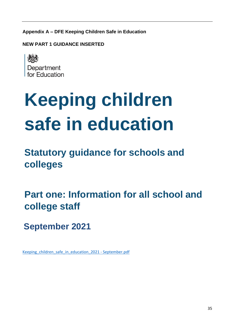<span id="page-34-0"></span>**Appendix A – DFE Keeping Children Safe in Education**

**NEW PART 1 GUIDANCE INSERTED**



# **Keeping children safe in education**

# **Statutory guidance for schools and colleges**

**Part one: Information for all school and college staff**

**September 2021**

Keeping children safe in education 2021 - September.pdf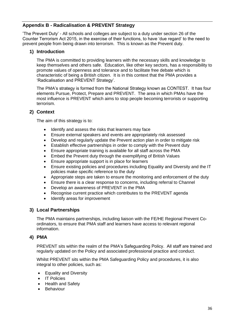# **Appendix B - Radicalisation & PREVENT Strategy**

'The Prevent Duty' - All schools and colleges are subject to a duty under section 26 of the Counter Terrorism Act 2015, in the exercise of their functions, to have 'due regard' to the need to prevent people from being drawn into terrorism. This is known as the Prevent duty.

# **1) Introduction**

The PMA is committed to providing learners with the necessary skills and knowledge to keep themselves and others safe. Education, like other key sectors, has a responsibility to promote values of openness and tolerance and to facilitate free debate which is characteristic of being a British citizen. It is in this context that the PMA provides a 'Radicalisation and PREVENT Strategy'.

The PMA's strategy is formed from the National Strategy known as CONTEST. It has four elements Pursue, Protect, Prepare and PREVENT. The area in which PMAs have the most influence is PREVENT which aims to stop people becoming terrorists or supporting terrorism.

# **2) Context**

The aim of this strategy is to:

- Identify and assess the risks that learners may face
- Ensure external speakers and events are appropriately risk assessed
- Develop and regularly update the Prevent action plan in order to mitigate risk
- Establish effective partnerships in order to comply with the Prevent duty
- Ensure appropriate training is available for all staff across the PMA
- Embed the Prevent duty through the exemplifying of British Values
- Ensure appropriate support is in place for learners
- Ensure existing policies and procedures including Equality and Diversity and the IT policies make specific reference to the duty
- Appropriate steps are taken to ensure the monitoring and enforcement of the duty
- Ensure there is a clear response to concerns, including referral to Channel
- Develop an awareness of PREVENT in the PMA
- Recognise current practice which contributes to the PREVENT agenda
- Identify areas for improvement

# **3) Local Partnerships**

The PMA maintains partnerships, including liaison with the FE/HE Regional Prevent Coordinators, to ensure that PMA staff and learners have access to relevant regional information.

# **4) PMA**

PREVENT sits within the realm of the PMA's Safeguarding Policy. All staff are trained and regularly updated on the Policy and associated professional practice and conduct.

Whilst PREVENT sits within the PMA Safeguarding Policy and procedures, it is also integral to other policies, such as:

- Equality and Diversity
- IT Policies
- Health and Safety
- **Behaviour**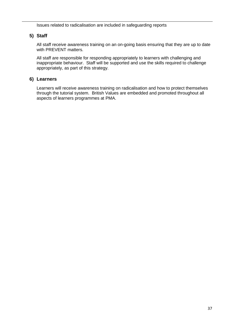Issues related to radicalisation are included in safeguarding reports

# **5) Staff**

All staff receive awareness training on an on-going basis ensuring that they are up to date with PREVENT matters.

All staff are responsible for responding appropriately to learners with challenging and inappropriate behaviour. Staff will be supported and use the skills required to challenge appropriately, as part of this strategy.

# **6) Learners**

Learners will receive awareness training on radicalisation and how to protect themselves through the tutorial system. British Values are embedded and promoted throughout all aspects of learners programmes at PMA.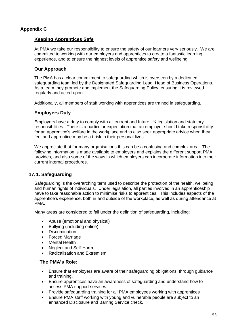# **Appendix C**

# **Keeping Apprentices Safe**

At PMA we take our responsibility to ensure the safety of our learners very seriously. We are committed to working with our employers and apprentices to create a fantastic learning experience, and to ensure the highest levels of apprentice safety and wellbeing.

# **Our Approach**

The PMA has a clear commitment to safeguarding which is overseen by a dedicated safeguarding team led by the Designated Safeguarding Lead, Head of Business Operations. As a team they promote and implement the Safeguarding Policy, ensuring it is reviewed regularly and acted upon.

Additionally, all members of staff working with apprentices are trained in safeguarding.

# **Employers Duty**

Employers have a duty to comply with all current and future UK legislation and statutory responsibilities. There is a particular expectation that an employer should take responsibility for an apprentice's welfare in the workplace and to also seek appropriate advice when they feel and apprentice may be a t risk in their personal lives.

We appreciate that for many organisations this can be a confusing and complex area. The following information is made available to employers and explains the different support PMA provides, and also some of the ways in which employers can incorporate information into their current internal procedures.

# **17.1. Safeguarding**

Safeguarding is the overarching term used to describe the protection of the health, wellbeing and human rights of individuals. Under legislation, all parties involved in an apprenticeship have to take reasonable action to minimise risks to apprentices. This includes aspects of the apprentice's experience, both in and outside of the workplace, as well as during attendance at PMA.

Many areas are considered to fall under the definition of safeguarding, including:

- Abuse (emotional and physical)
- Bullying (including online)
- Discrimination
- Forced Marriage
- Mental Health
- Neglect and Self-Harm
- Radicalisation and Extremism

#### **The PMA's Role:**

- Ensure that employers are aware of their safeguarding obligations, through guidance and training.
- Ensure apprentices have an awareness of safeguarding and understand how to access PMA support services.
- Provide safeguarding training for all PMA employees working with apprentices
- Ensure PMA staff working with young and vulnerable people are subject to an enhanced Disclosure and Barring Service check.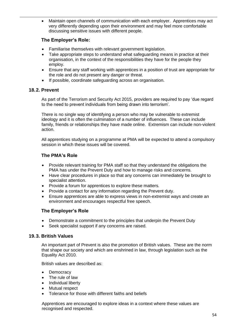• Maintain open channels of communication with each employer. Apprentices may act very differently depending upon their environment and may feel more comfortable discussing sensitive issues with different people.

# **The Employer's Role:**

- Familiarise themselves with relevant government legislation.
- Take appropriate steps to understand what safeguarding means in practice at their organisation, in the context of the responsibilities they have for the people they employ.
- Ensure that any staff working with apprentices in a position of trust are appropriate for the role and do not present any danger or threat.
- If possible, coordinate safeguarding across an organisation.

# **18.2. Prevent**

As part of the Terrorism and Security Act 2015, providers are required to pay 'due regard to the need to prevent individuals from being drawn into terrorism'.

There is no single way of identifying a person who may be vulnerable to extremist ideology and it is often the culmination of a number of influences. These can include family, friends or relationships they have made online. Extremism can include non-violent action.

All apprentices studying on a programme at PMA will be expected to attend a compulsory session in which these issues will be covered.

# **The PMA's Role**

- Provide relevant training for PMA staff so that they understand the obligations the PMA has under the Prevent Duty and how to manage risks and concerns.
- Have clear procedures in place so that any concerns can immediately be brought to specialist attention.
- Provide a forum for apprentices to explore these matters.
- Provide a contact for any information regarding the Prevent duty.
- Ensure apprentices are able to express views in non-extremist ways and create an environment and encourages respectful free speech.

# **The Employer's Role**

- Demonstrate a commitment to the principles that underpin the Prevent Duty
- Seek specialist support if any concerns are raised.

# **19.3. British Values**

An important part of Prevent is also the promotion of British values. These are the norm that shape our society and which are enshrined in law, through legislation such as the Equality Act 2010.

British values are described as:

- Democracy
- The rule of law
- Individual liberty
- Mutual respect
- Tolerance for those with different faiths and beliefs

Apprentices are encouraged to explore ideas in a context where these values are recognised and respected.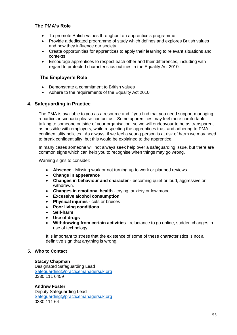# **The PMA's Role**

- To promote British values throughout an apprentice's programme
- Provide a dedicated programme of study which defines and explores British values and how they influence our society.
- Create opportunities for apprentices to apply their learning to relevant situations and contexts.
- Encourage apprentices to respect each other and their differences, including with regard to protected characteristics outlines in the Equality Act 2010.

# **The Employer's Role**

- Demonstrate a commitment to British values
- Adhere to the requirements of the Equality Act 2010.

#### **4. Safeguarding in Practice**

The PMA is available to you as a resource and if you find that you need support managing a particular scenario please contact us. Some apprentices may feel more comfortable talking to someone outside of your organisation, so we will endeavour to be as transparent as possible with employers, while respecting the apprentices trust and adhering to PMA confidentiality policies. As always, if we feel a young person is at risk of harm we may need to break confidentiality, but this would be explained to the apprentice.

In many cases someone will not always seek help over a safeguarding issue, but there are common signs which can help you to recognise when things may go wrong.

Warning signs to consider:

- **Absence** Missing work or not turning up to work or planned reviews
- **Change in appearance**
- **Changes in behaviour and character -** becoming quiet or loud, aggressive or withdrawn.
- **Changes in emotional health -** crying, anxiety or low mood
- **Excessive alcohol consumption**
- **Physical injuries -** cuts or bruises
- **Poor living conditions**
- **Self-harm**
- **Use of drugs**
- **Withdrawing from certain activities** reluctance to go online, sudden changes in use of technology

It is important to stress that the existence of some of these characteristics is not a definitive sign that anything is wrong.

#### **5. Who to Contact**

#### **Stacey Chapman**

Designated Safeguarding Lead [Safeguarding@practicemanagersuk.org](mailto:Safeguarding@practicemanagersuk.org) 0330 111 6459

#### **Andrew Foster**

Deputy Safeguarding Lead [Safeguarding@practicemanagersuk.org](mailto:Safeguarding@practicemanagersuk.org) 0330 111 64